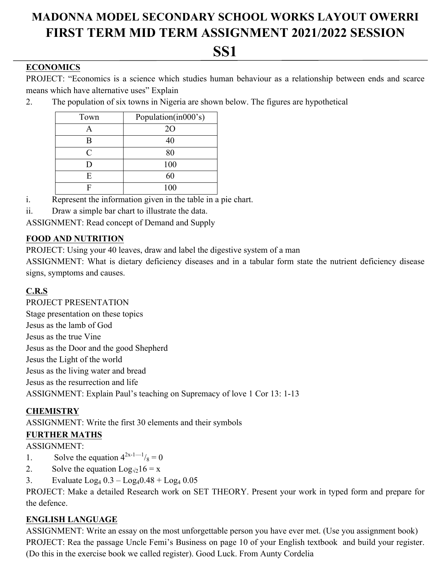# **MADONNA MODEL SECONDARY SCHOOL WORKS LAYOUT OWERRI FIRST TERM MID TERM ASSIGNMENT 2021/2022 SESSION**

# **SS1**

## **ECONOMICS**

PROJECT: "Economics is a science which studies human behaviour as a relationship between ends and scarce means which have alternative uses" Explain

2. The population of six towns in Nigeria are shown below. The figures are hypothetical

| Town | Population(in000's) |
|------|---------------------|
|      | <b>20</b>           |
| в    | 40                  |
| C    | 80                  |
|      | 100                 |
| E    | 60                  |
|      | 100                 |

- i. Represent the information given in the table in a pie chart.
- ii. Draw a simple bar chart to illustrate the data.

ASSIGNMENT: Read concept of Demand and Supply

# **FOOD AND NUTRITION**

PROJECT: Using your 40 leaves, draw and label the digestive system of a man

ASSIGNMENT: What is dietary deficiency diseases and in a tabular form state the nutrient deficiency disease signs, symptoms and causes.

# **C.R.S**

PROJECT PRESENTATION

Stage presentation on these topics Jesus as the lamb of God Jesus as the true Vine Jesus as the Door and the good Shepherd Jesus the Light of the world Jesus as the living water and bread Jesus as the resurrection and life ASSIGNMENT: Explain Paul's teaching on Supremacy of love 1 Cor 13: 1-13

### **CHEMISTRY**

ASSIGNMENT: Write the first 30 elements and their symbols

### **FURTHER MATHS**

ASSIGNMENT:

- 1. Solve the equation  $4^{2x-1-1}/8 = 0$
- 2. Solve the equation  $Log_{\sqrt{2}}16 = x$
- 3. Evaluate  $Log_4 0.3 Log_4 0.48 + Log_4 0.05$

PROJECT: Make a detailed Research work on SET THEORY. Present your work in typed form and prepare for the defence.

### **ENGLISH LANGUAGE**

ASSIGNMENT: Write an essay on the most unforgettable person you have ever met. (Use you assignment book) PROJECT: Rea the passage Uncle Femi's Business on page 10 of your English textbook and build your register. (Do this in the exercise book we called register). Good Luck. From Aunty Cordelia